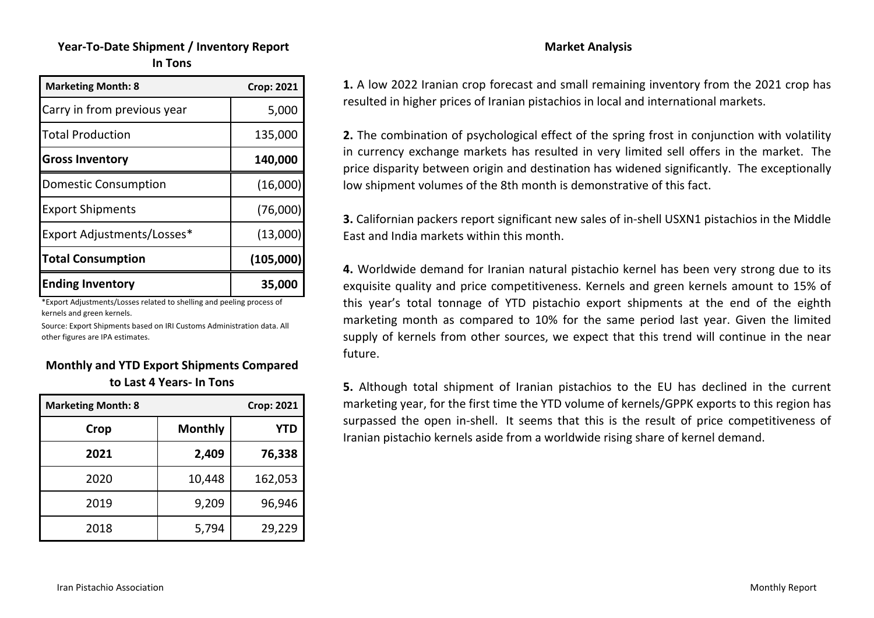# **Year‐To‐Date Shipment / Inventory Report In Tons**

| <b>Marketing Month: 8</b>   | <b>Crop: 2021</b> |
|-----------------------------|-------------------|
| Carry in from previous year | 5,000             |
| <b>Total Production</b>     | 135,000           |
| <b>Gross Inventory</b>      | 140,000           |
| <b>Domestic Consumption</b> | (16,000)          |
| <b>Export Shipments</b>     | (76,000)          |
| Export Adjustments/Losses*  | (13,000)          |
| <b>Total Consumption</b>    | (105,000)         |
| <b>Ending Inventory</b>     | 35,000            |

\*Export Adjustments/Losses related to shelling and peeling process of kernels and green kernels.

Source: Export Shipments based on IRI Customs Administration data. All other figures are IPA estimates.

#### **Monthly and YTD Export Shipments Compared to Last 4 Years‐ In Tons**

| <b>Marketing Month: 8</b> |                | <b>Crop: 2021</b> |
|---------------------------|----------------|-------------------|
| Crop                      | <b>Monthly</b> | <b>YTD</b>        |
| 2021                      | 2,409          | 76,338            |
| 2020                      | 10,448         | 162,053           |
| 2019                      | 9,209          | 96,946            |
| 2018                      | 5,794          | 29,229            |

**1.** A low 2022 Iranian crop forecast and small remaining inventory from the 2021 crop has resulted in higher prices of Iranian pistachios in local and international markets.

 **Market Analysis** 

**2.** The combination of psychological effect of the spring frost in conjunction with volatility in currency exchange markets has resulted in very limited sell offers in the market. The price disparity between origin and destination has widened significantly. The exceptionally low shipment volumes of the 8th month is demonstrative of this fact.

**3.** Californian packers report significant new sales of in‐shell USXN1 pistachios in the Middle East and India markets within this month.

**4.** Worldwide demand for Iranian natural pistachio kernel has been very strong due to its exquisite quality and price competitiveness. Kernels and green kernels amount to 15% of this year's total tonnage of YTD pistachio export shipments at the end of the eighth marketing month as compared to 10% for the same period last year. Given the limited supply of kernels from other sources, we expect that this trend will continue in the near future.

**5.** Although total shipment of Iranian pistachios to the EU has declined in the current marketing year, for the first time the YTD volume of kernels/GPPK exports to this region has surpassed the open in‐shell. It seems that this is the result of price competitiveness of Iranian pistachio kernels aside from a worldwide rising share of kernel demand.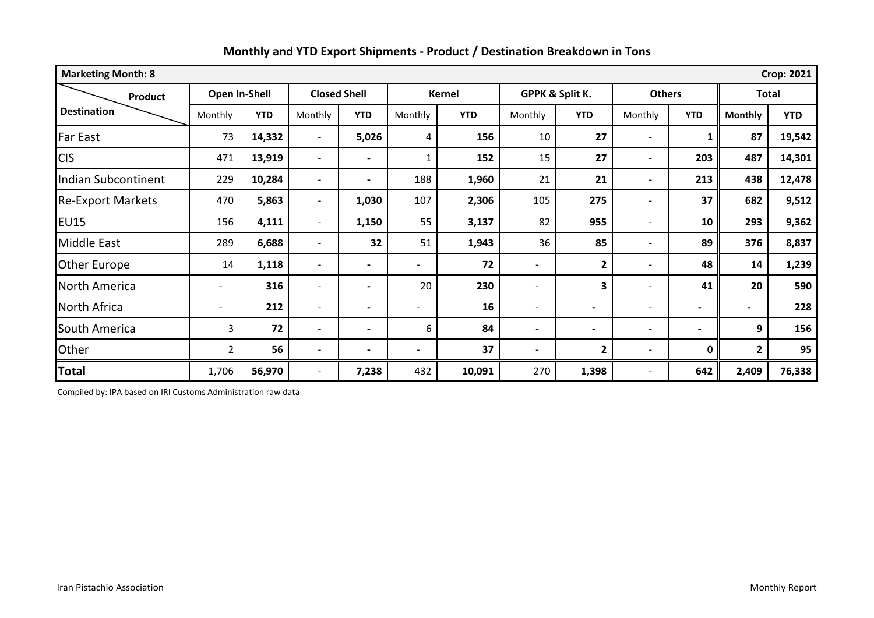| <b>Marketing Month: 8</b><br><b>Crop: 2021</b> |                          |               |                          |                     |                |            |                          |              |                          |                          |                |            |
|------------------------------------------------|--------------------------|---------------|--------------------------|---------------------|----------------|------------|--------------------------|--------------|--------------------------|--------------------------|----------------|------------|
| Product                                        |                          | Open In-Shell |                          | <b>Closed Shell</b> | Kernel         |            | GPPK & Split K.          |              | <b>Others</b>            |                          | <b>Total</b>   |            |
| <b>Destination</b>                             | Monthly                  | <b>YTD</b>    | Monthly                  | <b>YTD</b>          | Monthly        | <b>YTD</b> | Monthly                  | <b>YTD</b>   | Monthly                  | <b>YTD</b>               | <b>Monthly</b> | <b>YTD</b> |
| Far East                                       | 73                       | 14,332        | $\overline{\phantom{a}}$ | 5,026               | 4              | 156        | 10                       | 27           | $\overline{\phantom{a}}$ | 1                        | 87             | 19,542     |
| <b>CIS</b>                                     | 471                      | 13,919        | $\overline{\phantom{0}}$ |                     | 1              | 152        | 15                       | 27           |                          | 203                      | 487            | 14,301     |
| <b>Indian Subcontinent</b>                     | 229                      | 10,284        | $\overline{\phantom{0}}$ |                     | 188            | 1,960      | 21                       | 21           | $\overline{\phantom{a}}$ | 213                      | 438            | 12,478     |
| <b>Re-Export Markets</b>                       | 470                      | 5,863         | $\overline{\phantom{0}}$ | 1,030               | 107            | 2,306      | 105                      | 275          | $\overline{\phantom{a}}$ | 37                       | 682            | 9,512      |
| <b>EU15</b>                                    | 156                      | 4,111         | $\overline{\phantom{a}}$ | 1,150               | 55             | 3,137      | 82                       | 955          |                          | 10                       | 293            | 9,362      |
| <b>Middle East</b>                             | 289                      | 6,688         | $\overline{\phantom{a}}$ | 32                  | 51             | 1,943      | 36                       | 85           |                          | 89                       | 376            | 8,837      |
| <b>Other Europe</b>                            | 14                       | 1,118         | $\overline{\phantom{0}}$ |                     |                | 72         |                          | $\mathbf{2}$ |                          | 48                       | 14             | 1,239      |
| <b>North America</b>                           | $\overline{\phantom{a}}$ | 316           | $\overline{\phantom{0}}$ |                     | 20             | 230        | $\overline{\phantom{0}}$ | 3            | $\overline{\phantom{0}}$ | 41                       | 20             | 590        |
| North Africa                                   | $\overline{\phantom{a}}$ | 212           | $\overline{\phantom{0}}$ |                     | $\overline{a}$ | 16         |                          |              | $\overline{\phantom{a}}$ | $\overline{\phantom{a}}$ | $\blacksquare$ | 228        |
| South America                                  | 3                        | 72            | $\overline{\phantom{0}}$ |                     | 6              | 84         | $\overline{\phantom{0}}$ |              | $\overline{\phantom{a}}$ |                          | 9              | 156        |
| Other                                          | $\overline{2}$           | 56            | $\overline{\phantom{0}}$ |                     |                | 37         |                          | $\mathbf{2}$ | $\overline{\phantom{a}}$ | 0                        | $\overline{2}$ | 95         |
| <b>Total</b>                                   | 1,706                    | 56,970        | $\overline{\phantom{0}}$ | 7,238               | 432            | 10,091     | 270                      | 1,398        |                          | 642                      | 2,409          | 76,338     |

Compiled by: IPA based on IRI Customs Administration raw data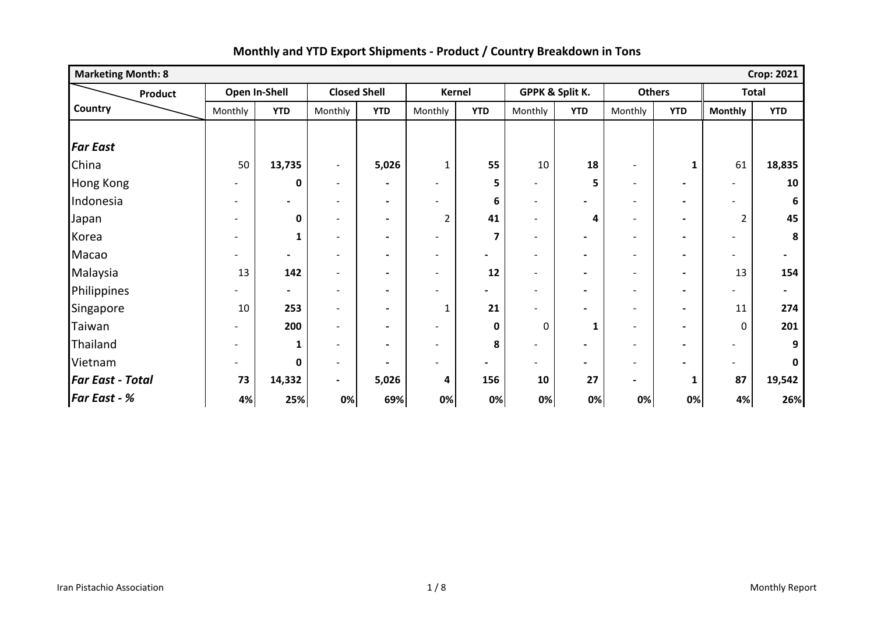| <b>Marketing Month: 8</b><br><b>Crop: 2021</b> |                          |                          |                              |                              |                          |                          |                          |                          |                          |                          |                          |                          |
|------------------------------------------------|--------------------------|--------------------------|------------------------------|------------------------------|--------------------------|--------------------------|--------------------------|--------------------------|--------------------------|--------------------------|--------------------------|--------------------------|
| <b>Product</b>                                 |                          | Open In-Shell            | <b>Closed Shell</b>          |                              |                          | <b>Kernel</b>            |                          | GPPK & Split K.          | <b>Others</b>            |                          | <b>Total</b>             |                          |
| Country                                        | Monthly                  | <b>YTD</b>               | Monthly                      | <b>YTD</b>                   | Monthly                  | <b>YTD</b>               | Monthly                  | <b>YTD</b>               | Monthly                  | <b>YTD</b>               | <b>Monthly</b>           | <b>YTD</b>               |
|                                                |                          |                          |                              |                              |                          |                          |                          |                          |                          |                          |                          |                          |
| <b>Far East</b>                                |                          |                          |                              |                              |                          |                          |                          |                          |                          |                          |                          |                          |
| China                                          | 50                       | 13,735                   | $\overline{\phantom{a}}$     | 5,026                        | $\mathbf{1}$             | 55                       | 10                       | 18                       | $\overline{\phantom{a}}$ | $\mathbf{1}$             | 61                       | 18,835                   |
| <b>Hong Kong</b>                               |                          | 0                        | $\overline{\phantom{a}}$     | $\blacksquare$               |                          | 5                        | -                        | 5                        | $\overline{\phantom{a}}$ |                          |                          | 10                       |
| Indonesia                                      |                          | $\overline{\phantom{a}}$ | -                            | $\blacksquare$               | -                        | 6                        | $\overline{\phantom{0}}$ | $\overline{\phantom{0}}$ | $\overline{\phantom{a}}$ | $\blacksquare$           |                          | 6                        |
| Japan                                          |                          | $\mathbf{0}$             | $\overline{\phantom{0}}$     | $\qquad \qquad \blacksquare$ | 2                        | 41                       | $\overline{\phantom{0}}$ | 4                        | $\overline{\phantom{a}}$ | $\blacksquare$           | $\overline{2}$           | 45                       |
| Korea                                          |                          | 1                        | $\overline{\phantom{0}}$     | $\overline{\phantom{0}}$     | -                        | 7                        | $\blacksquare$           | $\blacksquare$           | $\overline{\phantom{a}}$ | $\blacksquare$           |                          | 8                        |
| Macao                                          |                          | $\blacksquare$           | $\overline{\phantom{a}}$     | $\overline{\phantom{0}}$     | $\overline{\phantom{a}}$ | $\overline{\phantom{0}}$ | $\overline{\phantom{a}}$ | $\blacksquare$           | $\overline{\phantom{a}}$ | $\blacksquare$           | $\overline{\phantom{0}}$ | $\overline{\phantom{a}}$ |
| Malaysia                                       | 13                       | 142                      | $\qquad \qquad \blacksquare$ | $\qquad \qquad \blacksquare$ | $\overline{\phantom{a}}$ | 12                       | $\overline{\phantom{0}}$ | $\blacksquare$           | $\overline{\phantom{a}}$ | $\blacksquare$           | 13                       | 154                      |
| Philippines                                    |                          | $\blacksquare$           | $\overline{\phantom{0}}$     | $\blacksquare$               | $\overline{a}$           | Ξ.                       | -                        | $\overline{\phantom{0}}$ | $\overline{\phantom{a}}$ | $\overline{\phantom{0}}$ |                          | $\blacksquare$           |
| Singapore                                      | 10                       | 253                      | -                            |                              | $\mathbf{1}$             | 21                       |                          | $\overline{\phantom{0}}$ | $\overline{\phantom{0}}$ | $\overline{\phantom{0}}$ | 11                       | 274                      |
| Taiwan                                         |                          | 200                      | $\overline{\phantom{0}}$     | $\blacksquare$               | $\overline{\phantom{0}}$ | 0                        | 0                        | $\mathbf{1}$             | $\overline{\phantom{a}}$ | $\blacksquare$           | $\Omega$                 | 201                      |
| Thailand                                       | $\overline{\phantom{0}}$ | 1                        | $\overline{\phantom{a}}$     | $\blacksquare$               | $\overline{\phantom{a}}$ | 8                        | $\overline{\phantom{0}}$ | $\overline{\phantom{0}}$ | $\overline{\phantom{a}}$ | $\blacksquare$           |                          | 9                        |
| Vietnam                                        |                          | $\mathbf{0}$             | $\overline{\phantom{a}}$     |                              | -                        | $\overline{\phantom{0}}$ | $\overline{\phantom{0}}$ | $\blacksquare$           | $\overline{\phantom{a}}$ | $\overline{\phantom{0}}$ | $\overline{\phantom{a}}$ | 0                        |
| <b>Far East - Total</b>                        | 73                       | 14,332                   | $\blacksquare$               | 5,026                        | 4                        | 156                      | 10                       | 27                       | $\blacksquare$           | $\mathbf{1}$             | 87                       | 19,542                   |
| <b>Far East - %</b>                            | 4%                       | 25%                      | 0%                           | 69%                          | 0%                       | 0%                       | 0%                       | 0%                       | 0%                       | 0%                       | 4%                       | 26%                      |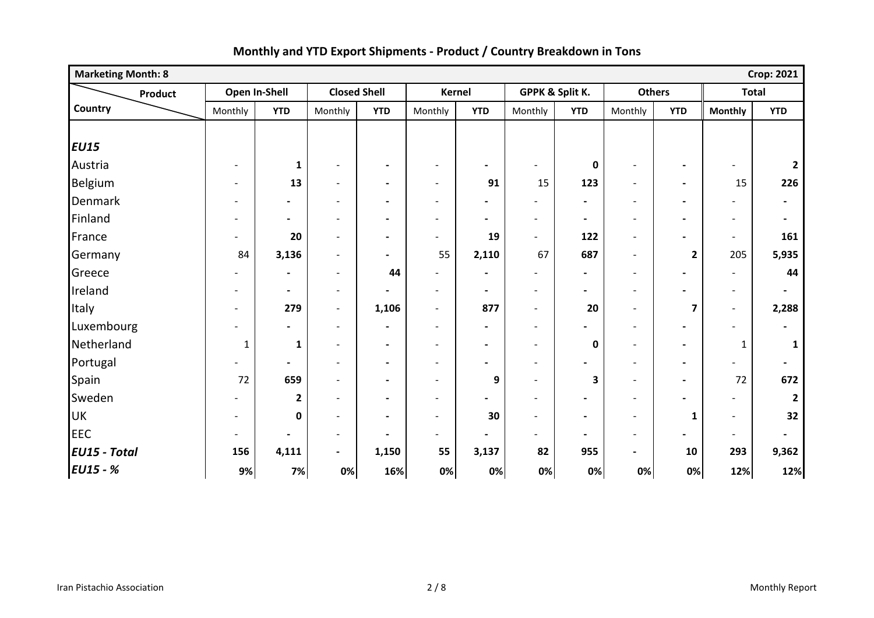| <b>Crop: 2021</b><br><b>Marketing Month: 8</b> |                          |                          |                          |                          |                              |                          |                          |                          |                          |                          |                          |                          |
|------------------------------------------------|--------------------------|--------------------------|--------------------------|--------------------------|------------------------------|--------------------------|--------------------------|--------------------------|--------------------------|--------------------------|--------------------------|--------------------------|
| Product                                        |                          | Open In-Shell            | <b>Closed Shell</b>      |                          |                              | <b>Kernel</b>            |                          | GPPK & Split K.          | <b>Others</b>            |                          | <b>Total</b>             |                          |
| Country                                        | Monthly                  | <b>YTD</b>               | Monthly                  | <b>YTD</b>               | Monthly                      | <b>YTD</b>               | Monthly                  | <b>YTD</b>               | Monthly                  | <b>YTD</b>               | <b>Monthly</b>           | <b>YTD</b>               |
|                                                |                          |                          |                          |                          |                              |                          |                          |                          |                          |                          |                          |                          |
| <b>EU15</b>                                    |                          |                          |                          |                          |                              |                          |                          |                          |                          |                          |                          |                          |
| Austria                                        | $\overline{\phantom{a}}$ | $\mathbf{1}$             | $\overline{\phantom{a}}$ | $\overline{\phantom{a}}$ | $\qquad \qquad \blacksquare$ | $\blacksquare$           | $\overline{\phantom{a}}$ | $\mathbf 0$              |                          |                          |                          | $\overline{2}$           |
| Belgium                                        | $\blacksquare$           | 13                       | $\overline{\phantom{a}}$ | $\blacksquare$           | $\overline{\phantom{a}}$     | 91                       | 15                       | 123                      | $\blacksquare$           | $\overline{\phantom{a}}$ | 15                       | 226                      |
| Denmark                                        | $\overline{\phantom{a}}$ | $\overline{\phantom{0}}$ | $\overline{\phantom{a}}$ | $\overline{\phantom{a}}$ | $\overline{\phantom{a}}$     | $\blacksquare$           | $\overline{\phantom{0}}$ | $\blacksquare$           | $\overline{\phantom{a}}$ | $\blacksquare$           |                          | $\blacksquare$           |
| Finland                                        | $\overline{\phantom{a}}$ | $\blacksquare$           | $\overline{\phantom{a}}$ | $\blacksquare$           | $\overline{\phantom{a}}$     | $\blacksquare$           | $\overline{\phantom{a}}$ | $\blacksquare$           | $\overline{\phantom{a}}$ | $\blacksquare$           | $\overline{\phantom{a}}$ | $\blacksquare$           |
| France                                         | $\overline{\phantom{a}}$ | 20                       | $\overline{\phantom{a}}$ | $\blacksquare$           | $\overline{\phantom{a}}$     | 19                       | $\blacksquare$           | 122                      | $\overline{\phantom{a}}$ |                          | $\overline{\phantom{0}}$ | 161                      |
| Germany                                        | 84                       | 3,136                    | $\blacksquare$           | $\blacksquare$           | 55                           | 2,110                    | 67                       | 687                      | $\blacksquare$           | $\overline{2}$           | 205                      | 5,935                    |
| Greece                                         | $\blacksquare$           | $\blacksquare$           | $\overline{\phantom{a}}$ | 44                       | $\overline{a}$               | $\blacksquare$           | $\overline{\phantom{a}}$ | $\blacksquare$           | $\overline{\phantom{a}}$ | $\blacksquare$           | $\overline{\phantom{0}}$ | 44                       |
| Ireland                                        | $\overline{\phantom{a}}$ | $\blacksquare$           | $\overline{\phantom{a}}$ | $\blacksquare$           | $\overline{\phantom{a}}$     | $\blacksquare$           | $\overline{\phantom{a}}$ | $\blacksquare$           | $\overline{\phantom{a}}$ |                          | $\overline{\phantom{0}}$ | $\blacksquare$           |
| Italy                                          | $\overline{\phantom{a}}$ | 279                      | $\overline{\phantom{a}}$ | 1,106                    | $\overline{\phantom{a}}$     | 877                      | $\overline{\phantom{a}}$ | 20                       | $\overline{\phantom{a}}$ | $\overline{\mathbf{z}}$  | $\overline{\phantom{0}}$ | 2,288                    |
| Luxembourg                                     |                          | $\overline{\phantom{0}}$ | $\overline{\phantom{a}}$ | $\overline{\phantom{a}}$ | $\qquad \qquad \blacksquare$ | $\blacksquare$           | $\overline{\phantom{a}}$ |                          | $\overline{\phantom{a}}$ |                          |                          | $\blacksquare$           |
| Netherland                                     | $\mathbf{1}$             | $\mathbf{1}$             | $\overline{\phantom{a}}$ | $\blacksquare$           | $\overline{\phantom{a}}$     | $\overline{\phantom{a}}$ | $\overline{\phantom{a}}$ | 0                        | $\overline{\phantom{a}}$ | $\blacksquare$           | 1                        | 1                        |
| Portugal                                       |                          | $\blacksquare$           | $\overline{\phantom{a}}$ | $\blacksquare$           | $\overline{\phantom{a}}$     | $\overline{\phantom{a}}$ | $\overline{\phantom{a}}$ | $\overline{\phantom{a}}$ | $\overline{\phantom{a}}$ | $\overline{\phantom{a}}$ |                          | $\blacksquare$           |
| Spain                                          | 72                       | 659                      | $\overline{\phantom{a}}$ | $\blacksquare$           | $\overline{\phantom{a}}$     | 9                        | $\overline{\phantom{a}}$ | 3                        | $\blacksquare$           | $\blacksquare$           | 72                       | 672                      |
| Sweden                                         |                          | $\mathbf{2}$             | $\overline{\phantom{0}}$ | $\overline{a}$           | $\overline{\phantom{0}}$     | $\overline{\phantom{0}}$ | $\overline{\phantom{0}}$ |                          | $\blacksquare$           |                          |                          |                          |
| <b>UK</b>                                      | $\overline{\phantom{0}}$ | 0                        | $\overline{\phantom{a}}$ | $\overline{\phantom{a}}$ | $\overline{\phantom{a}}$     | 30                       | $\overline{\phantom{a}}$ | $\blacksquare$           | $\overline{\phantom{a}}$ | $\mathbf{1}$             | $\overline{a}$           | 32                       |
| <b>EEC</b>                                     | $\overline{\phantom{a}}$ | $\blacksquare$           | $\overline{\phantom{a}}$ | $\blacksquare$           | $\overline{\phantom{0}}$     | $\blacksquare$           | $\overline{\phantom{0}}$ | $\blacksquare$           | $\overline{\phantom{a}}$ | $\blacksquare$           | $\overline{\phantom{a}}$ | $\overline{\phantom{a}}$ |
| <b>EU15 - Total</b>                            | 156                      | 4,111                    | $\overline{\phantom{a}}$ | 1,150                    | 55                           | 3,137                    | 82                       | 955                      | $\blacksquare$           | 10                       | 293                      | 9,362                    |
| <b>EU15 - %</b>                                | 9%                       | 7%                       | 0%                       | 16%                      | 0%                           | 0%                       | 0%                       | 0%                       | 0%                       | 0%                       | 12%                      | 12%                      |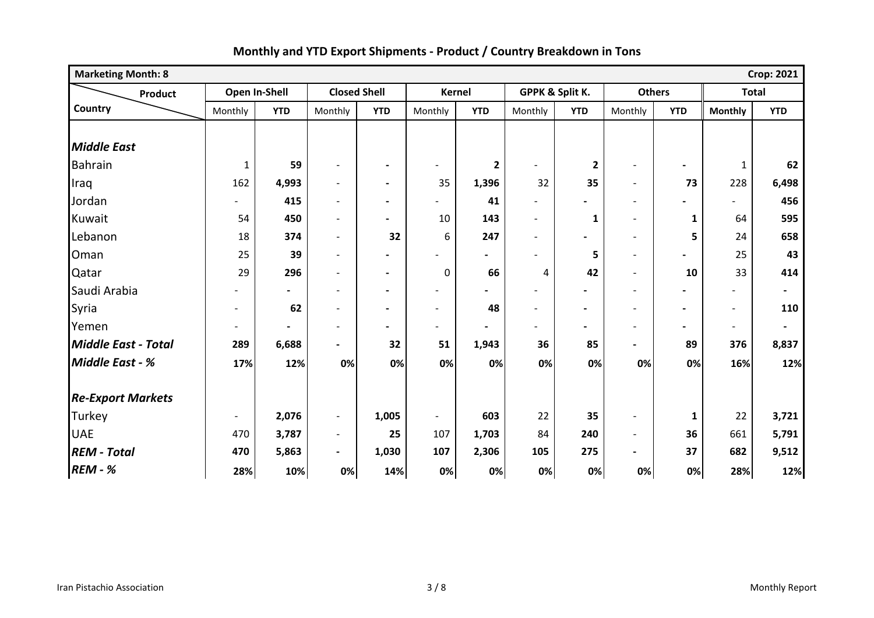| <b>Marketing Month: 8</b>  | <b>Crop: 2021</b>        |                |                          |                              |                          |                |                          |                 |                          |              |                          |                          |
|----------------------------|--------------------------|----------------|--------------------------|------------------------------|--------------------------|----------------|--------------------------|-----------------|--------------------------|--------------|--------------------------|--------------------------|
| Product                    |                          | Open In-Shell  | <b>Closed Shell</b>      |                              |                          | <b>Kernel</b>  |                          | GPPK & Split K. | <b>Others</b>            |              | <b>Total</b>             |                          |
| Country                    | Monthly                  | <b>YTD</b>     | Monthly                  | <b>YTD</b>                   | Monthly                  | <b>YTD</b>     | Monthly                  | <b>YTD</b>      | Monthly                  | <b>YTD</b>   | <b>Monthly</b>           | <b>YTD</b>               |
|                            |                          |                |                          |                              |                          |                |                          |                 |                          |              |                          |                          |
| <b>Middle East</b>         |                          |                |                          |                              |                          |                |                          |                 |                          |              |                          |                          |
| <b>Bahrain</b>             | $\mathbf{1}$             | 59             | $\overline{\phantom{0}}$ | $\blacksquare$               | $\overline{\phantom{0}}$ | $\mathbf{2}$   | $\overline{\phantom{a}}$ | $\mathbf{2}$    | $\overline{\phantom{a}}$ |              | $\mathbf{1}$             | 62                       |
| Iraq                       | 162                      | 4,993          | $\overline{a}$           | $\blacksquare$               | 35                       | 1,396          | 32                       | 35              | $\overline{\phantom{a}}$ | 73           | 228                      | 6,498                    |
| Jordan                     | $\overline{\phantom{a}}$ | 415            | $\overline{a}$           | $\overline{\phantom{a}}$     | $\overline{\phantom{0}}$ | 41             | $\blacksquare$           |                 | $\blacksquare$           |              | $\blacksquare$           | 456                      |
| Kuwait                     | 54                       | 450            | $\overline{\phantom{0}}$ | Ξ.                           | 10                       | 143            | $\blacksquare$           | $\mathbf{1}$    | $\blacksquare$           | $\mathbf{1}$ | 64                       | 595                      |
| Lebanon                    | 18                       | 374            | $\overline{\phantom{0}}$ | 32                           | 6                        | 247            | $\overline{\phantom{a}}$ |                 | $\overline{\phantom{a}}$ | 5            | 24                       | 658                      |
| Oman                       | 25                       | 39             | $\overline{\phantom{0}}$ | $\qquad \qquad \blacksquare$ | $\overline{\phantom{0}}$ | $\blacksquare$ | $\overline{\phantom{0}}$ | 5               | $\overline{\phantom{a}}$ |              | 25                       | 43                       |
| Qatar                      | 29                       | 296            | $\blacksquare$           | $\blacksquare$               | 0                        | 66             | 4                        | 42              | $\blacksquare$           | 10           | 33                       | 414                      |
| Saudi Arabia               |                          | $\blacksquare$ | $\blacksquare$           | $\blacksquare$               | $\overline{\phantom{a}}$ | $\blacksquare$ | $\blacksquare$           |                 | $\overline{\phantom{0}}$ |              |                          | $\blacksquare$           |
| Syria                      | $\overline{a}$           | 62             | $\overline{a}$           | $\blacksquare$               | $\overline{a}$           | 48             | $\overline{a}$           |                 | $\overline{\phantom{0}}$ |              | $\overline{\phantom{0}}$ | 110                      |
| Yemen                      | $\overline{a}$           |                | $\overline{\phantom{0}}$ | $\blacksquare$               | $\overline{\phantom{a}}$ | $\blacksquare$ | $\blacksquare$           | $\blacksquare$  | $\blacksquare$           |              | $\overline{\phantom{a}}$ | $\overline{\phantom{a}}$ |
| <b>Middle East - Total</b> | 289                      | 6,688          | $\overline{\phantom{0}}$ | 32                           | 51                       | 1,943          | 36                       | 85              | $\overline{\phantom{0}}$ | 89           | 376                      | 8,837                    |
| <b>Middle East - %</b>     | 17%                      | 12%            | 0%                       | 0%                           | 0%                       | 0%             | 0%                       | 0%              | 0%                       | 0%           | 16%                      | 12%                      |
|                            |                          |                |                          |                              |                          |                |                          |                 |                          |              |                          |                          |
| <b>Re-Export Markets</b>   |                          |                |                          |                              |                          |                |                          |                 |                          |              |                          |                          |
| Turkey                     | $\overline{\phantom{a}}$ | 2,076          | $\overline{\phantom{a}}$ | 1,005                        | $\overline{\phantom{a}}$ | 603            | 22                       | 35              | $\overline{\phantom{a}}$ | $\mathbf{1}$ | 22                       | 3,721                    |
| <b>UAE</b>                 | 470                      | 3,787          | $\overline{\phantom{a}}$ | 25                           | 107                      | 1,703          | 84                       | 240             | $\blacksquare$           | 36           | 661                      | 5,791                    |
| <b>REM - Total</b>         | 470                      | 5,863          | $\overline{\phantom{0}}$ | 1,030                        | 107                      | 2,306          | 105                      | 275             |                          | 37           | 682                      | 9,512                    |
| <b>REM - %</b>             | 28%                      | 10%            | 0%                       | 14%                          | 0%                       | 0%             | 0%                       | 0%              | 0%                       | 0%           | 28%                      | 12%                      |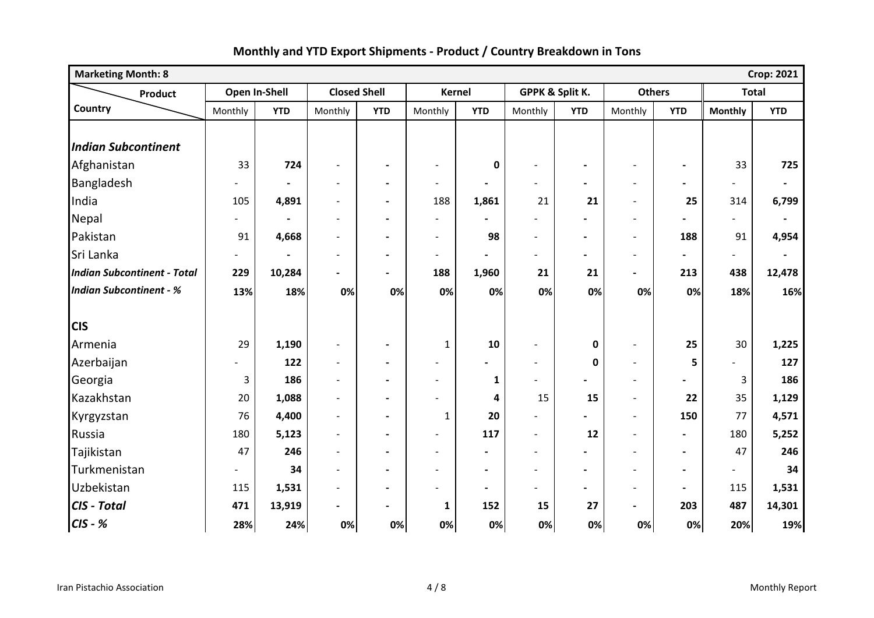| <b>Marketing Month: 8</b><br><b>Crop: 2021</b> |         |               |                          |                          |                          |                          |                          |                          |                          |                          |                |                |
|------------------------------------------------|---------|---------------|--------------------------|--------------------------|--------------------------|--------------------------|--------------------------|--------------------------|--------------------------|--------------------------|----------------|----------------|
| <b>Product</b>                                 |         | Open In-Shell | <b>Closed Shell</b>      |                          | <b>Kernel</b>            |                          |                          | GPPK & Split K.          | <b>Others</b>            |                          | <b>Total</b>   |                |
| Country                                        | Monthly | <b>YTD</b>    | Monthly                  | <b>YTD</b>               | Monthly                  | <b>YTD</b>               | Monthly                  | <b>YTD</b>               | Monthly                  | <b>YTD</b>               | <b>Monthly</b> | <b>YTD</b>     |
| <b>Indian Subcontinent</b>                     |         |               |                          |                          |                          |                          |                          |                          |                          |                          |                |                |
| Afghanistan                                    | 33      | 724           | $\overline{\phantom{a}}$ | $\blacksquare$           | $\blacksquare$           | $\mathbf 0$              | $\overline{a}$           |                          |                          |                          | 33             | 725            |
| Bangladesh                                     |         |               | $\blacksquare$           | $\overline{\phantom{a}}$ | $\overline{\phantom{a}}$ |                          |                          |                          | $\overline{\phantom{a}}$ | $\blacksquare$           |                | $\blacksquare$ |
| India                                          | 105     | 4,891         | $\blacksquare$           | $\blacksquare$           | 188                      | 1,861                    | 21                       | 21                       | $\overline{\phantom{a}}$ | 25                       | 314            | 6,799          |
| Nepal                                          |         |               | $\overline{a}$           | $\blacksquare$           | $\blacksquare$           |                          |                          |                          | $\overline{\phantom{a}}$ |                          | $\overline{a}$ | $\blacksquare$ |
| Pakistan                                       | 91      | 4,668         | $\overline{a}$           | $\blacksquare$           | $\blacksquare$           | 98                       | $\blacksquare$           | $\blacksquare$           | $\blacksquare$           | 188                      | 91             | 4,954          |
| Sri Lanka                                      |         |               | $\overline{\phantom{0}}$ | $\blacksquare$           | $\blacksquare$           | $\overline{\phantom{a}}$ | $\blacksquare$           |                          | $\overline{\phantom{a}}$ | $\overline{\phantom{0}}$ |                | $\blacksquare$ |
| <b>Indian Subcontinent - Total</b>             | 229     | 10,284        | $\blacksquare$           | $\blacksquare$           | 188                      | 1,960                    | 21                       | 21                       | $\blacksquare$           | 213                      | 438            | 12,478         |
| <b>Indian Subcontinent - %</b>                 | 13%     | 18%           | 0%                       | 0%                       | 0%                       | 0%                       | 0%                       | 0%                       | 0%                       | 0%                       | 18%            | 16%            |
|                                                |         |               |                          |                          |                          |                          |                          |                          |                          |                          |                |                |
| <b>CIS</b>                                     |         |               |                          |                          |                          |                          |                          |                          |                          |                          |                |                |
| Armenia                                        | 29      | 1,190         | $\blacksquare$           | $\overline{\phantom{a}}$ | $\mathbf{1}$             | 10                       | $\overline{a}$           | $\mathbf 0$              | $\overline{\phantom{a}}$ | 25                       | 30             | 1,225          |
| Azerbaijan                                     |         | 122           | $\overline{\phantom{a}}$ | $\blacksquare$           | $\overline{\phantom{a}}$ |                          | $\overline{\phantom{a}}$ | $\mathbf 0$              | $\overline{\phantom{a}}$ | 5                        |                | 127            |
| Georgia                                        | 3       | 186           | $\blacksquare$           | $\blacksquare$           | $\overline{\phantom{a}}$ | $\mathbf{1}$             | $\blacksquare$           |                          | $\overline{\phantom{a}}$ |                          | 3              | 186            |
| Kazakhstan                                     | 20      | 1,088         | $\blacksquare$           | $\blacksquare$           | $\overline{\phantom{0}}$ | 4                        | 15                       | 15                       | $\blacksquare$           | 22                       | 35             | 1,129          |
| Kyrgyzstan                                     | 76      | 4,400         | $\overline{\phantom{a}}$ | $\blacksquare$           | $\mathbf{1}$             | 20                       |                          |                          | $\blacksquare$           | 150                      | 77             | 4,571          |
| Russia                                         | 180     | 5,123         | $\blacksquare$           | $\blacksquare$           | $\overline{\phantom{a}}$ | 117                      | $\blacksquare$           | 12                       | $\blacksquare$           | $\blacksquare$           | 180            | 5,252          |
| Tajikistan                                     | 47      | 246           | $\overline{a}$           | $\blacksquare$           | $\blacksquare$           |                          |                          |                          |                          | $\blacksquare$           | 47             | 246            |
| Turkmenistan                                   |         | 34            | $\overline{a}$           | $\blacksquare$           | $\blacksquare$           | $\blacksquare$           | $\blacksquare$           | $\blacksquare$           | $\overline{\phantom{a}}$ | $\blacksquare$           |                | 34             |
| Uzbekistan                                     | 115     | 1,531         | $\overline{\phantom{a}}$ | $\blacksquare$           | $\overline{\phantom{a}}$ | $\blacksquare$           | $\blacksquare$           | $\overline{\phantom{0}}$ | $\overline{\phantom{a}}$ | $\blacksquare$           | 115            | 1,531          |
| CIS - Total                                    | 471     | 13,919        | $\overline{a}$           | $\blacksquare$           | $\mathbf{1}$             | 152                      | 15                       | 27                       | $\blacksquare$           | 203                      | 487            | 14,301         |
| $CIS - K$                                      | 28%     | 24%           | 0%                       | 0%                       | 0%                       | 0%                       | 0%                       | 0%                       | 0%                       | 0%                       | 20%            | 19%            |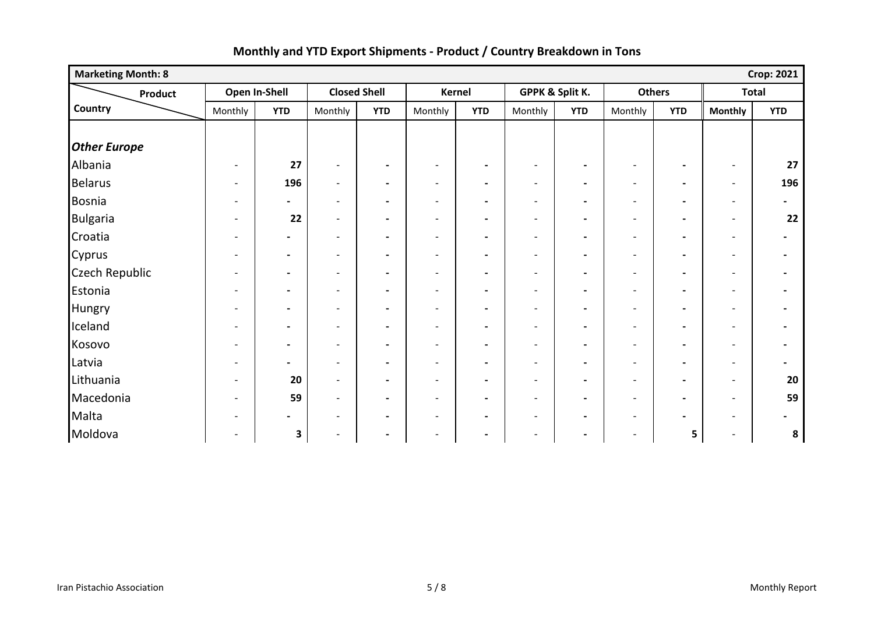| <b>Marketing Month: 8</b> |                          |                |                          |                          |                          |                          |                          |                          |                          |                          |                          | <b>Crop: 2021</b>        |
|---------------------------|--------------------------|----------------|--------------------------|--------------------------|--------------------------|--------------------------|--------------------------|--------------------------|--------------------------|--------------------------|--------------------------|--------------------------|
| Product                   |                          | Open In-Shell  |                          | <b>Closed Shell</b>      |                          | Kernel                   | GPPK & Split K.          |                          | <b>Others</b>            |                          | <b>Total</b>             |                          |
| Country                   | Monthly                  | <b>YTD</b>     | Monthly                  | <b>YTD</b>               | Monthly                  | <b>YTD</b>               | Monthly                  | <b>YTD</b>               | Monthly                  | <b>YTD</b>               | <b>Monthly</b>           | <b>YTD</b>               |
|                           |                          |                |                          |                          |                          |                          |                          |                          |                          |                          |                          |                          |
| <b>Other Europe</b>       |                          |                |                          |                          |                          |                          |                          |                          |                          |                          |                          |                          |
| Albania                   |                          | 27             | $\overline{\phantom{a}}$ | $\blacksquare$           | $\overline{\phantom{a}}$ | $\blacksquare$           | $\overline{\phantom{a}}$ | $\overline{\phantom{a}}$ | $\overline{\phantom{a}}$ | $\overline{\phantom{a}}$ | $\overline{\phantom{0}}$ | 27                       |
| <b>Belarus</b>            | $\overline{\phantom{a}}$ | 196            | $\overline{\phantom{a}}$ | $\blacksquare$           | $\overline{\phantom{a}}$ | $\blacksquare$           | $\overline{\phantom{a}}$ | $\overline{\phantom{a}}$ | $\overline{\phantom{a}}$ | $\blacksquare$           | $\overline{\phantom{a}}$ | 196                      |
| Bosnia                    | $\overline{\phantom{0}}$ | $\blacksquare$ | $\overline{\phantom{a}}$ | $\blacksquare$           | $\overline{\phantom{a}}$ | $\overline{\phantom{a}}$ | $\overline{\phantom{a}}$ | $\blacksquare$           | $\overline{\phantom{a}}$ | $\blacksquare$           | $\overline{\phantom{a}}$ | $\overline{\phantom{a}}$ |
| <b>Bulgaria</b>           |                          | 22             | $\overline{\phantom{a}}$ | $\blacksquare$           | $\overline{\phantom{a}}$ | $\blacksquare$           | $\overline{\phantom{a}}$ | $\blacksquare$           | $\overline{\phantom{a}}$ | $\blacksquare$           | $\overline{\phantom{a}}$ | 22                       |
| Croatia                   |                          | $\blacksquare$ | $\overline{\phantom{a}}$ | $\blacksquare$           | $\overline{\phantom{0}}$ | $\overline{\phantom{a}}$ | $\overline{\phantom{a}}$ | $\blacksquare$           | $\overline{\phantom{a}}$ | $\blacksquare$           | $\overline{\phantom{a}}$ |                          |
| Cyprus                    | $\overline{\phantom{0}}$ | $\blacksquare$ | $\overline{\phantom{a}}$ | $\blacksquare$           | $\overline{\phantom{a}}$ | $\blacksquare$           | $\overline{\phantom{a}}$ | $\blacksquare$           | $\overline{\phantom{a}}$ | $\blacksquare$           | $\overline{\phantom{a}}$ | $\blacksquare$           |
| <b>Czech Republic</b>     | $\overline{\phantom{0}}$ | $\blacksquare$ | $\overline{\phantom{a}}$ | $\overline{\phantom{a}}$ | $\overline{\phantom{a}}$ | $\blacksquare$           | $\overline{\phantom{a}}$ | $\overline{\phantom{a}}$ | $\overline{\phantom{a}}$ | $\blacksquare$           | $\overline{\phantom{a}}$ | $\overline{\phantom{0}}$ |
| Estonia                   | $\overline{\phantom{0}}$ | $\blacksquare$ | $\overline{\phantom{a}}$ | $\blacksquare$           | $\overline{\phantom{a}}$ | $\blacksquare$           | $\overline{\phantom{a}}$ | $\overline{\phantom{a}}$ | $\overline{\phantom{a}}$ | $\overline{\phantom{a}}$ | $\overline{\phantom{a}}$ |                          |
| Hungry                    |                          | $\blacksquare$ | $\overline{\phantom{a}}$ | $\blacksquare$           | $\overline{\phantom{a}}$ | $\blacksquare$           | $\overline{\phantom{a}}$ | $\overline{\phantom{a}}$ | $\overline{\phantom{a}}$ | $\overline{\phantom{a}}$ | $\overline{\phantom{a}}$ |                          |
| Iceland                   | $\overline{\phantom{0}}$ | $\blacksquare$ | $\overline{\phantom{a}}$ | $\blacksquare$           | $\overline{\phantom{a}}$ | $\blacksquare$           | $\overline{\phantom{a}}$ | $\blacksquare$           | $\overline{\phantom{a}}$ | $\blacksquare$           | $\overline{\phantom{a}}$ |                          |
| Kosovo                    |                          | $\blacksquare$ | $\overline{\phantom{a}}$ | $\blacksquare$           | $\overline{\phantom{a}}$ | $\blacksquare$           | $\overline{\phantom{a}}$ | $\blacksquare$           | $\overline{\phantom{a}}$ | $\blacksquare$           | $\overline{\phantom{a}}$ |                          |
| Latvia                    | $\overline{\phantom{0}}$ | $\blacksquare$ | $\overline{\phantom{a}}$ | $\blacksquare$           | $\overline{\phantom{a}}$ | $\blacksquare$           | $\overline{\phantom{a}}$ | $\overline{\phantom{a}}$ | $\overline{\phantom{a}}$ | $\overline{\phantom{a}}$ | $\overline{\phantom{a}}$ |                          |
| Lithuania                 |                          | 20             | $\overline{\phantom{a}}$ | $\blacksquare$           | $\overline{a}$           | $\blacksquare$           | $\overline{\phantom{a}}$ | $\blacksquare$           | $\overline{\phantom{a}}$ | $\blacksquare$           | $\overline{\phantom{a}}$ | 20                       |
| Macedonia                 |                          | 59             | $\overline{\phantom{a}}$ | $\blacksquare$           | $\overline{\phantom{a}}$ | $\blacksquare$           | $\overline{\phantom{a}}$ | $\blacksquare$           | $\overline{\phantom{a}}$ | $\blacksquare$           | $\overline{\phantom{a}}$ | 59                       |
| Malta                     |                          | $\blacksquare$ | $\blacksquare$           | $\hbox{--}$              | $\overline{\phantom{a}}$ | $\blacksquare$           | $\overline{\phantom{a}}$ | $\blacksquare$           | $\overline{\phantom{a}}$ | $\overline{\phantom{a}}$ | $\overline{\phantom{a}}$ | $\blacksquare$           |
| Moldova                   | $\overline{\phantom{0}}$ | 3              | $\overline{\phantom{a}}$ | $\overline{\phantom{a}}$ | $\overline{\phantom{a}}$ | $\blacksquare$           | $\overline{\phantom{a}}$ | $\blacksquare$           | $\overline{\phantom{a}}$ | 5                        | $\overline{\phantom{a}}$ | 8                        |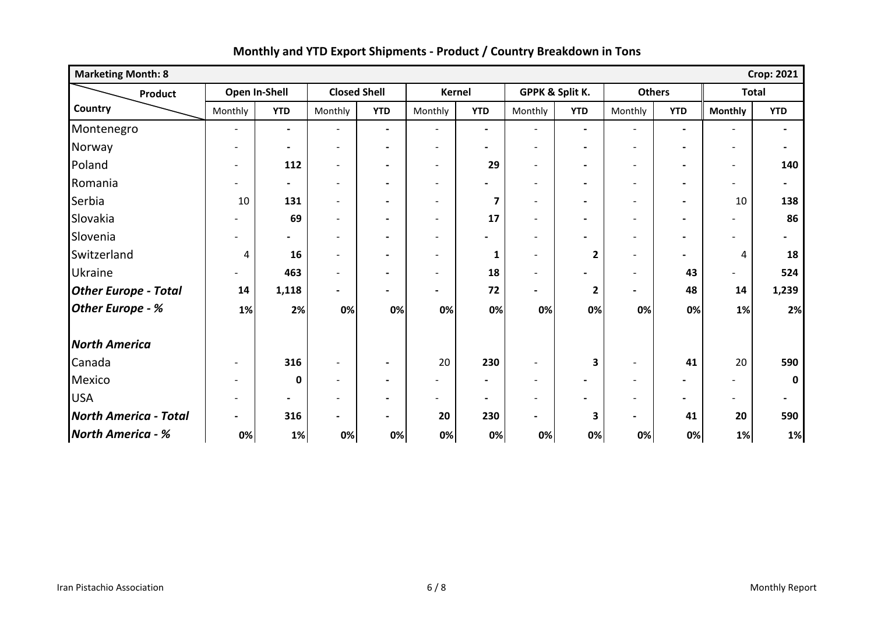| <b>Marketing Month: 8</b><br><b>Crop: 2021</b> |                          |                          |                          |                              |                              |                          |                          |                          |                              |                          |                          |                |
|------------------------------------------------|--------------------------|--------------------------|--------------------------|------------------------------|------------------------------|--------------------------|--------------------------|--------------------------|------------------------------|--------------------------|--------------------------|----------------|
| Product                                        | Open In-Shell            |                          | <b>Closed Shell</b>      |                              | Kernel                       |                          | GPPK & Split K.          |                          | <b>Others</b>                |                          | <b>Total</b>             |                |
| Country                                        | Monthly                  | <b>YTD</b>               | Monthly                  | <b>YTD</b>                   | Monthly                      | <b>YTD</b>               | Monthly                  | <b>YTD</b>               | Monthly                      | <b>YTD</b>               | <b>Monthly</b>           | <b>YTD</b>     |
| Montenegro                                     | $\blacksquare$           | $\blacksquare$           | $\overline{\phantom{a}}$ | $\blacksquare$               | $\overline{\phantom{a}}$     | $\blacksquare$           | $\overline{\phantom{a}}$ | $\blacksquare$           | $\overline{\phantom{a}}$     | $\overline{\phantom{a}}$ | $\overline{\phantom{a}}$ | $\blacksquare$ |
| Norway                                         |                          | $\blacksquare$           | $\blacksquare$           | $\blacksquare$               | $\blacksquare$               | $\overline{\phantom{0}}$ | $\blacksquare$           | $\overline{\phantom{a}}$ | $\overline{\phantom{a}}$     | $\overline{\phantom{a}}$ | $\overline{\phantom{a}}$ | $\blacksquare$ |
| Poland                                         |                          | 112                      | $\overline{\phantom{0}}$ | $\blacksquare$               | $\overline{\phantom{0}}$     | 29                       | $\overline{a}$           | $\blacksquare$           | $\overline{\phantom{0}}$     | $\overline{\phantom{a}}$ | $\blacksquare$           | 140            |
| Romania                                        | $\overline{\phantom{0}}$ | $\blacksquare$           | $\overline{\phantom{a}}$ | $\blacksquare$               | $\overline{\phantom{a}}$     | $\blacksquare$           | $\overline{\phantom{a}}$ | $\blacksquare$           | $\overline{\phantom{a}}$     | $\overline{\phantom{a}}$ | $\overline{\phantom{a}}$ | $\blacksquare$ |
| Serbia                                         | 10                       | 131                      | $\overline{\phantom{a}}$ | $\blacksquare$               | $\overline{a}$               | $\overline{\mathbf{z}}$  | $\overline{\phantom{a}}$ | $\blacksquare$           | $\overline{\phantom{a}}$     | $\blacksquare$           | 10                       | 138            |
| Slovakia                                       |                          | 69                       | $\overline{a}$           | $\blacksquare$               | $\overline{\phantom{a}}$     | 17                       | $\blacksquare$           | $\overline{\phantom{a}}$ | $\overline{\phantom{a}}$     | $\blacksquare$           | $\overline{\phantom{a}}$ | 86             |
| Slovenia                                       |                          | $\overline{\phantom{0}}$ | $\overline{\phantom{a}}$ |                              | $\overline{a}$               |                          | $\overline{\phantom{0}}$ | $\blacksquare$           | $\sim$                       | $\blacksquare$           |                          |                |
| Switzerland                                    | 4                        | 16                       | $\overline{\phantom{0}}$ | $\qquad \qquad \blacksquare$ | $\overline{\phantom{0}}$     | 1                        | $\blacksquare$           | 2                        | $\blacksquare$               | $\blacksquare$           | 4                        | 18             |
| Ukraine                                        |                          | 463                      | $\overline{\phantom{a}}$ | $\qquad \qquad \blacksquare$ | $\overline{\phantom{0}}$     | 18                       | $\overline{\phantom{a}}$ |                          | $\blacksquare$               | 43                       | $\overline{\phantom{0}}$ | 524            |
| <b>Other Europe - Total</b>                    | 14                       | 1,118                    | $\blacksquare$           | $\blacksquare$               | $\blacksquare$               | 72                       | $\blacksquare$           | $\mathbf{2}$             | $\overline{\phantom{0}}$     | 48                       | 14                       | 1,239          |
| Other Europe - %                               | 1%                       | 2%                       | 0%                       | 0%                           | 0%                           | 0%                       | 0%                       | 0%                       | 0%                           | 0%                       | $1\%$                    | 2%             |
| <b>North America</b>                           |                          |                          |                          |                              |                              |                          |                          |                          |                              |                          |                          |                |
| Canada                                         |                          | 316                      | $\overline{\phantom{a}}$ | $\blacksquare$               | 20                           | 230                      | $\overline{\phantom{a}}$ | $\overline{\mathbf{3}}$  | $\overline{\phantom{a}}$     | 41                       | 20                       | 590            |
| Mexico                                         |                          | $\mathbf 0$              | $\overline{\phantom{a}}$ | $\qquad \qquad \blacksquare$ | $\qquad \qquad \blacksquare$ | $\blacksquare$           | $\overline{\phantom{a}}$ | $\blacksquare$           | $\qquad \qquad \blacksquare$ | $\blacksquare$           |                          |                |
| <b>USA</b>                                     |                          | $\blacksquare$           |                          | $\qquad \qquad \blacksquare$ | $\overline{\phantom{0}}$     | $\blacksquare$           | $\overline{\phantom{a}}$ | $\blacksquare$           | $\overline{\phantom{a}}$     | $\blacksquare$           | -                        |                |
| <b>North America - Total</b>                   |                          | 316                      | $\blacksquare$           | $\overline{\phantom{0}}$     | 20                           | 230                      | $\overline{\phantom{0}}$ | 3                        | $\overline{\phantom{0}}$     | 41                       | 20                       | 590            |
| <b>North America - %</b>                       | 0%                       | 1%                       | 0%                       | 0%                           | 0%                           | 0%                       | 0%                       | 0%                       | 0%                           | 0%                       | 1%                       | 1%             |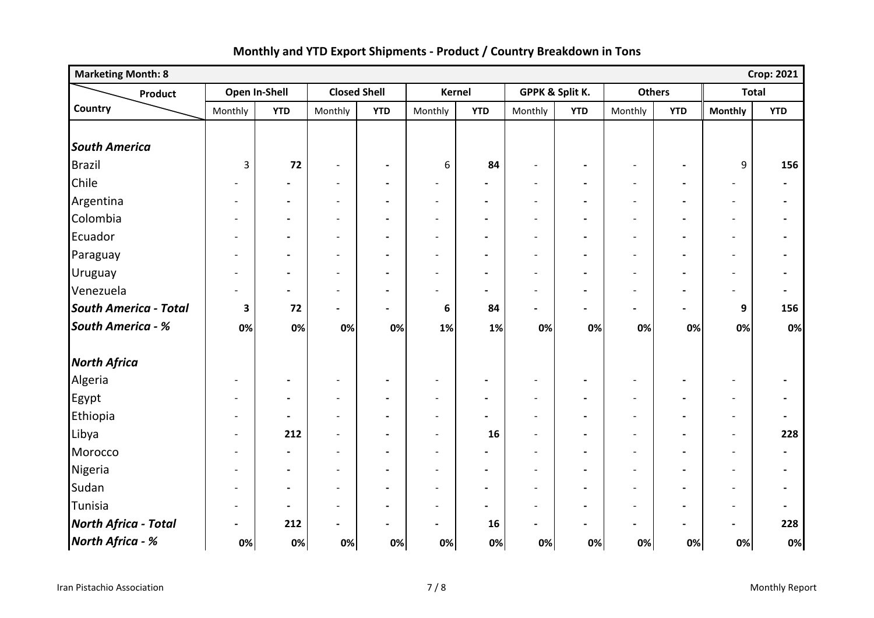| <b>Marketing Month: 8</b>    |                          |                          |                              |                          |                          |                          |                          |                |                          |                          |                          | <b>Crop: 2021</b>        |
|------------------------------|--------------------------|--------------------------|------------------------------|--------------------------|--------------------------|--------------------------|--------------------------|----------------|--------------------------|--------------------------|--------------------------|--------------------------|
| Product                      | Open In-Shell            |                          | <b>Closed Shell</b>          |                          | <b>Kernel</b>            |                          | GPPK & Split K.          |                | <b>Others</b>            |                          | <b>Total</b>             |                          |
| Country                      | Monthly                  | <b>YTD</b>               | Monthly                      | <b>YTD</b>               | Monthly                  | <b>YTD</b>               | Monthly                  | <b>YTD</b>     | Monthly                  | <b>YTD</b>               | <b>Monthly</b>           | <b>YTD</b>               |
|                              |                          |                          |                              |                          |                          |                          |                          |                |                          |                          |                          |                          |
| <b>South America</b>         |                          |                          |                              |                          |                          |                          |                          |                |                          |                          |                          |                          |
| Brazil                       | 3                        | 72                       | $\overline{\phantom{a}}$     | $\blacksquare$           | 6                        | 84                       | $\overline{\phantom{a}}$ | $\blacksquare$ | $\blacksquare$           | $\blacksquare$           | 9                        | 156                      |
| Chile                        |                          | $\overline{\phantom{0}}$ | $\overline{\phantom{a}}$     | $\blacksquare$           | $\overline{\phantom{a}}$ | $\overline{\phantom{a}}$ | $\overline{\phantom{a}}$ |                |                          | $\overline{\phantom{a}}$ | $\overline{\phantom{a}}$ | $\blacksquare$           |
| Argentina                    | $\overline{\phantom{0}}$ | $\blacksquare$           | $\overline{\phantom{a}}$     | $\blacksquare$           | $\overline{\phantom{a}}$ | $\overline{\phantom{a}}$ | $\overline{\phantom{a}}$ | $\blacksquare$ | $\overline{\phantom{a}}$ | $\overline{\phantom{a}}$ | $\overline{\phantom{a}}$ | $\blacksquare$           |
| Colombia                     | $\overline{\phantom{0}}$ | $\hbox{--}$              | $\overline{\phantom{0}}$     | $\blacksquare$           | $\overline{a}$           | $\blacksquare$           | $\overline{\phantom{a}}$ | $\blacksquare$ | $\overline{\phantom{a}}$ | $\blacksquare$           | $\overline{\phantom{a}}$ | $\blacksquare$           |
| Ecuador                      | $\overline{\phantom{a}}$ | $\blacksquare$           | $\overline{\phantom{a}}$     | $\overline{\phantom{a}}$ | $\overline{a}$           | $\blacksquare$           | $\overline{\phantom{a}}$ | $\blacksquare$ | $\overline{\phantom{a}}$ | $\blacksquare$           | $\overline{\phantom{a}}$ | $\overline{\phantom{a}}$ |
| Paraguay                     | $\overline{\phantom{0}}$ | $\blacksquare$           | $\overline{\phantom{a}}$     | $\blacksquare$           | $\overline{\phantom{a}}$ | $\blacksquare$           | $\overline{\phantom{a}}$ | $\blacksquare$ | $\overline{\phantom{a}}$ | $\overline{\phantom{a}}$ | $\overline{\phantom{a}}$ | $\blacksquare$           |
| Uruguay                      | -                        | $\blacksquare$           | $\overline{\phantom{0}}$     | $\overline{\phantom{0}}$ | $\overline{\phantom{0}}$ | $\blacksquare$           | $\overline{\phantom{a}}$ |                |                          | $\overline{\phantom{a}}$ | $\overline{\phantom{a}}$ | $\blacksquare$           |
| Venezuela                    | $\overline{\phantom{0}}$ | $\blacksquare$           | $\overline{\phantom{a}}$     | $\blacksquare$           | $\overline{a}$           | $\overline{\phantom{a}}$ | $\overline{\phantom{a}}$ | $\blacksquare$ | $\overline{\phantom{a}}$ | $\blacksquare$           | $\overline{\phantom{a}}$ | $\blacksquare$           |
| <b>South America - Total</b> | 3                        | 72                       | $\qquad \qquad \blacksquare$ | $\blacksquare$           | 6                        | 84                       | $\blacksquare$           | $\blacksquare$ | $\blacksquare$           | $\blacksquare$           | 9                        | 156                      |
| <b>South America - %</b>     | 0%                       | 0%                       | 0%                           | 0%                       | 1%                       | 1%                       | 0%                       | 0%             | 0%                       | 0%                       | 0%                       | 0%                       |
| <b>North Africa</b>          |                          |                          |                              |                          |                          |                          |                          |                |                          |                          |                          |                          |
| Algeria                      | $\blacksquare$           | $\blacksquare$           | $\overline{\phantom{a}}$     | $\hbox{--}$              | $\overline{a}$           | $\blacksquare$           | $\overline{\phantom{a}}$ | $\blacksquare$ | $\overline{\phantom{a}}$ | $\overline{\phantom{a}}$ | $\overline{\phantom{a}}$ | $\blacksquare$           |
| Egypt                        | $\overline{\phantom{a}}$ | $\blacksquare$           | $\overline{\phantom{a}}$     | $\blacksquare$           | $\overline{a}$           | $\blacksquare$           | $\overline{\phantom{a}}$ | $\blacksquare$ | $\overline{\phantom{a}}$ | $\blacksquare$           | $\overline{\phantom{a}}$ | $\blacksquare$           |
| Ethiopia                     | $\blacksquare$           | $\overline{\phantom{a}}$ | $\overline{\phantom{a}}$     |                          | $\overline{a}$           | $\blacksquare$           | $\overline{\phantom{a}}$ |                |                          | $\blacksquare$           | $\overline{\phantom{a}}$ | $\blacksquare$           |
| Libya                        | $\overline{\phantom{a}}$ | 212                      | $\overline{\phantom{a}}$     | $\blacksquare$           | $\overline{\phantom{a}}$ | 16                       | $\overline{\phantom{a}}$ | $\blacksquare$ | $\overline{\phantom{a}}$ | $\blacksquare$           | $\overline{\phantom{a}}$ | 228                      |
| Morocco                      | $\overline{\phantom{a}}$ | $\blacksquare$           | $\overline{a}$               | $\overline{\phantom{a}}$ | $\overline{a}$           | $\overline{\phantom{a}}$ | $\overline{\phantom{a}}$ | $\blacksquare$ | $\overline{\phantom{a}}$ | $\blacksquare$           | $\overline{\phantom{a}}$ | $\overline{\phantom{a}}$ |
| Nigeria                      | $\overline{\phantom{a}}$ | $\blacksquare$           | $\overline{\phantom{a}}$     | $\overline{\phantom{a}}$ | $\overline{\phantom{a}}$ | $\blacksquare$           | $\overline{\phantom{a}}$ | $\blacksquare$ | $\overline{\phantom{a}}$ | $\blacksquare$           | $\overline{\phantom{a}}$ | $\overline{\phantom{a}}$ |
| Sudan                        | $\overline{\phantom{0}}$ | $\overline{\phantom{a}}$ | $\overline{a}$               | $\blacksquare$           | $\overline{a}$           | $\blacksquare$           | $\overline{\phantom{a}}$ | $\blacksquare$ |                          | $\blacksquare$           | $\overline{\phantom{a}}$ | $\overline{\phantom{a}}$ |
| Tunisia                      | $\overline{\phantom{a}}$ | $\overline{\phantom{a}}$ | $\overline{a}$               | $\overline{\phantom{0}}$ | $\overline{a}$           | $\blacksquare$           | $\overline{\phantom{a}}$ |                |                          | $\overline{\phantom{a}}$ | $\overline{\phantom{a}}$ | $\blacksquare$           |
| <b>North Africa - Total</b>  | $\blacksquare$           | 212                      | $\qquad \qquad \blacksquare$ | $\overline{\phantom{a}}$ | $\blacksquare$           | 16                       | $\overline{\phantom{a}}$ | $\blacksquare$ |                          | $\blacksquare$           | $\blacksquare$           | 228                      |
| North Africa - %             | 0%                       | 0%                       | 0%                           | 0%                       | 0%                       | 0%                       | 0%                       | 0%             | 0%                       | 0%                       | 0%                       | 0%                       |